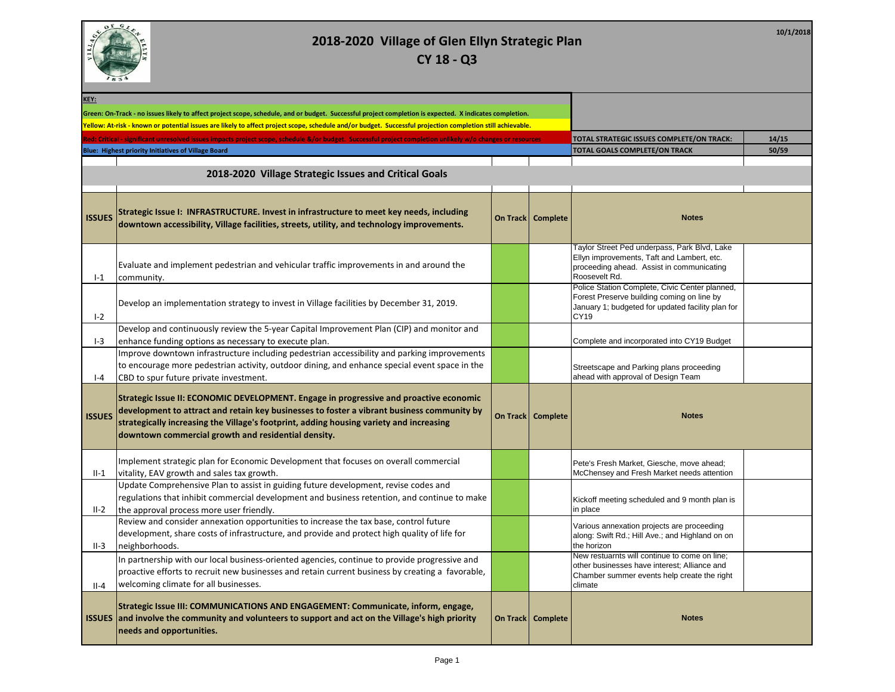

| KEY:          |                                                                                                                                                                                                                                                                                                                                        |                     |                                                                                                                                                           |       |
|---------------|----------------------------------------------------------------------------------------------------------------------------------------------------------------------------------------------------------------------------------------------------------------------------------------------------------------------------------------|---------------------|-----------------------------------------------------------------------------------------------------------------------------------------------------------|-------|
|               | Green: On-Track - no issues likely to affect project scope, schedule, and or budget. Successful project completion is expected. X indicates completion.                                                                                                                                                                                |                     |                                                                                                                                                           |       |
|               | Yellow: At-risk - known or potential issues are likely to affect project scope, schedule and/or budget. Successful projection completion still achievable.                                                                                                                                                                             |                     |                                                                                                                                                           |       |
|               | ted: Critical - significant unresolved issues impacts project scope, schedule &/or budget. Successful project completion unlikely w/o changes or resources                                                                                                                                                                             |                     | TOTAL STRATEGIC ISSUES COMPLETE/ON TRACK:                                                                                                                 | 14/15 |
|               | Blue: Highest priority Initiatives of Village Board                                                                                                                                                                                                                                                                                    |                     | <b>TOTAL GOALS COMPLETE/ON TRACK</b>                                                                                                                      | 50/59 |
|               |                                                                                                                                                                                                                                                                                                                                        |                     |                                                                                                                                                           |       |
|               | 2018-2020 Village Strategic Issues and Critical Goals                                                                                                                                                                                                                                                                                  |                     |                                                                                                                                                           |       |
|               |                                                                                                                                                                                                                                                                                                                                        |                     |                                                                                                                                                           |       |
| <b>ISSUES</b> | Strategic Issue I: INFRASTRUCTURE. Invest in infrastructure to meet key needs, including<br>downtown accessibility, Village facilities, streets, utility, and technology improvements.                                                                                                                                                 | On Track   Complete | <b>Notes</b>                                                                                                                                              |       |
| $-1$          | Evaluate and implement pedestrian and vehicular traffic improvements in and around the<br>community.                                                                                                                                                                                                                                   |                     | Taylor Street Ped underpass, Park Blvd, Lake<br>Ellyn improvements, Taft and Lambert, etc.<br>proceeding ahead. Assist in communicating<br>Roosevelt Rd.  |       |
| $I-2$         | Develop an implementation strategy to invest in Village facilities by December 31, 2019.                                                                                                                                                                                                                                               |                     | Police Station Complete, Civic Center planned,<br>Forest Preserve building coming on line by<br>January 1; budgeted for updated facility plan for<br>CY19 |       |
|               | Develop and continuously review the 5-year Capital Improvement Plan (CIP) and monitor and                                                                                                                                                                                                                                              |                     |                                                                                                                                                           |       |
| $I-3$         | enhance funding options as necessary to execute plan.                                                                                                                                                                                                                                                                                  |                     | Complete and incorporated into CY19 Budget                                                                                                                |       |
|               | Improve downtown infrastructure including pedestrian accessibility and parking improvements                                                                                                                                                                                                                                            |                     |                                                                                                                                                           |       |
|               | to encourage more pedestrian activity, outdoor dining, and enhance special event space in the                                                                                                                                                                                                                                          |                     | Streetscape and Parking plans proceeding                                                                                                                  |       |
| $I - 4$       | CBD to spur future private investment.                                                                                                                                                                                                                                                                                                 |                     | ahead with approval of Design Team                                                                                                                        |       |
| <b>ISSUES</b> | Strategic Issue II: ECONOMIC DEVELOPMENT. Engage in progressive and proactive economic<br>development to attract and retain key businesses to foster a vibrant business community by<br>strategically increasing the Village's footprint, adding housing variety and increasing<br>downtown commercial growth and residential density. | On Track   Complete | <b>Notes</b>                                                                                                                                              |       |
|               | Implement strategic plan for Economic Development that focuses on overall commercial                                                                                                                                                                                                                                                   |                     | Pete's Fresh Market, Giesche, move ahead;                                                                                                                 |       |
| $II-1$        | vitality, EAV growth and sales tax growth.                                                                                                                                                                                                                                                                                             |                     | McChensey and Fresh Market needs attention                                                                                                                |       |
| $II-2$        | Update Comprehensive Plan to assist in guiding future development, revise codes and<br>regulations that inhibit commercial development and business retention, and continue to make<br>the approval process more user friendly.                                                                                                        |                     | Kickoff meeting scheduled and 9 month plan is<br>in place                                                                                                 |       |
| $II-3$        | Review and consider annexation opportunities to increase the tax base, control future<br>development, share costs of infrastructure, and provide and protect high quality of life for<br>neighborhoods.                                                                                                                                |                     | Various annexation projects are proceeding<br>along: Swift Rd.; Hill Ave.; and Highland on on<br>the horizon                                              |       |
| $II - 4$      | In partnership with our local business-oriented agencies, continue to provide progressive and<br>proactive efforts to recruit new businesses and retain current business by creating a favorable,<br>welcoming climate for all businesses.                                                                                             |                     | New restuarnts will continue to come on line;<br>other businesses have interest; Alliance and<br>Chamber summer events help create the right<br>climate   |       |
|               | Strategic Issue III: COMMUNICATIONS AND ENGAGEMENT: Communicate, inform, engage,<br>ISSUES  and involve the community and volunteers to support and act on the Village's high priority<br>needs and opportunities.                                                                                                                     | On Track   Complete | <b>Notes</b>                                                                                                                                              |       |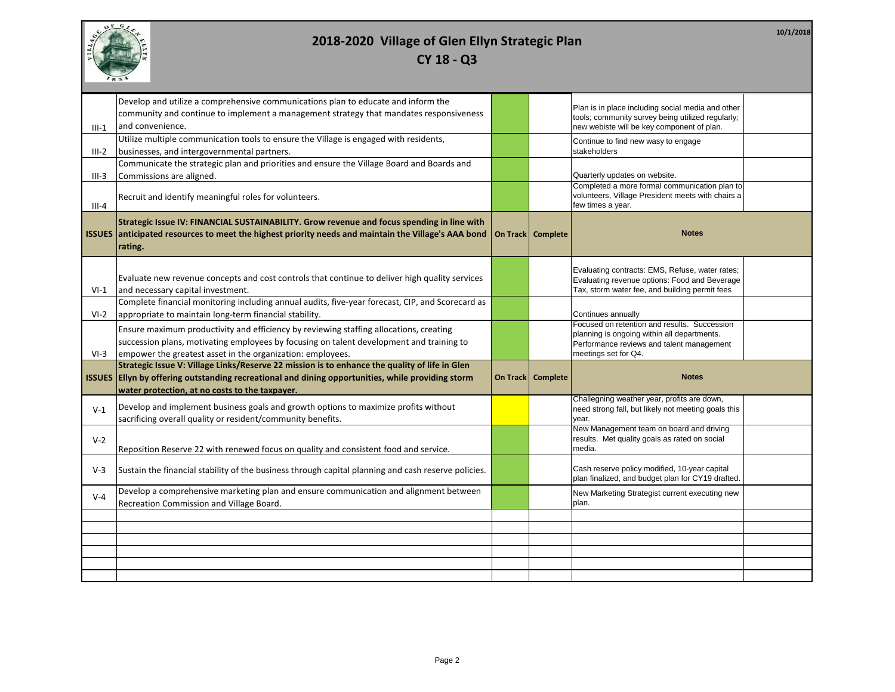

| <b>CY 18 - Q3</b> |  |  |  |
|-------------------|--|--|--|
|-------------------|--|--|--|

| Develop and utilize a comprehensive communications plan to educate and inform the<br>community and continue to implement a management strategy that mandates responsiveness |  |                     |                                                                                                    |  |
|-----------------------------------------------------------------------------------------------------------------------------------------------------------------------------|--|---------------------|----------------------------------------------------------------------------------------------------|--|
|                                                                                                                                                                             |  |                     |                                                                                                    |  |
|                                                                                                                                                                             |  |                     | Plan is in place including social media and other                                                  |  |
|                                                                                                                                                                             |  |                     | tools; community survey being utilized regularly;                                                  |  |
| and convenience.<br>$III-1$                                                                                                                                                 |  |                     | new webiste will be key component of plan.                                                         |  |
| Utilize multiple communication tools to ensure the Village is engaged with residents,                                                                                       |  |                     | Continue to find new wasy to engage                                                                |  |
| businesses, and intergovernmental partners.<br>III-2                                                                                                                        |  |                     | stakeholders                                                                                       |  |
| Communicate the strategic plan and priorities and ensure the Village Board and Boards and                                                                                   |  |                     |                                                                                                    |  |
|                                                                                                                                                                             |  |                     |                                                                                                    |  |
| III-3<br>Commissions are aligned.                                                                                                                                           |  |                     | Quarterly updates on website.<br>Completed a more formal communication plan to                     |  |
|                                                                                                                                                                             |  |                     | volunteers, Village President meets with chairs a                                                  |  |
| Recruit and identify meaningful roles for volunteers.<br>$III-4$                                                                                                            |  |                     | few times a year.                                                                                  |  |
|                                                                                                                                                                             |  |                     |                                                                                                    |  |
| Strategic Issue IV: FINANCIAL SUSTAINABILITY. Grow revenue and focus spending in line with                                                                                  |  |                     |                                                                                                    |  |
| ISSUES anticipated resources to meet the highest priority needs and maintain the Village's AAA bond                                                                         |  | On Track   Complete | <b>Notes</b>                                                                                       |  |
| rating.                                                                                                                                                                     |  |                     |                                                                                                    |  |
|                                                                                                                                                                             |  |                     |                                                                                                    |  |
|                                                                                                                                                                             |  |                     | Evaluating contracts: EMS, Refuse, water rates;                                                    |  |
| Evaluate new revenue concepts and cost controls that continue to deliver high quality services                                                                              |  |                     | Evaluating revenue options: Food and Beverage                                                      |  |
| and necessary capital investment.<br>$VI-1$                                                                                                                                 |  |                     | Tax, storm water fee, and building permit fees                                                     |  |
| Complete financial monitoring including annual audits, five-year forecast, CIP, and Scorecard as                                                                            |  |                     |                                                                                                    |  |
|                                                                                                                                                                             |  |                     |                                                                                                    |  |
|                                                                                                                                                                             |  |                     |                                                                                                    |  |
| appropriate to maintain long-term financial stability.<br>$VI-2$                                                                                                            |  |                     | Continues annually                                                                                 |  |
| Ensure maximum productivity and efficiency by reviewing staffing allocations, creating                                                                                      |  |                     | Focused on retention and results. Succession                                                       |  |
|                                                                                                                                                                             |  |                     | planning is ongoing within all departments.                                                        |  |
| succession plans, motivating employees by focusing on talent development and training to                                                                                    |  |                     | Performance reviews and talent management                                                          |  |
| empower the greatest asset in the organization: employees.<br>$VI-3$                                                                                                        |  |                     | meetings set for Q4.                                                                               |  |
| Strategic Issue V: Village Links/Reserve 22 mission is to enhance the quality of life in Glen                                                                               |  |                     |                                                                                                    |  |
| ISSUES   Ellyn by offering outstanding recreational and dining opportunities, while providing storm                                                                         |  | On Track Complete   | <b>Notes</b>                                                                                       |  |
| water protection, at no costs to the taxpayer.                                                                                                                              |  |                     |                                                                                                    |  |
|                                                                                                                                                                             |  |                     | Challegning weather year, profits are down,                                                        |  |
| Develop and implement business goals and growth options to maximize profits without<br>$V-1$                                                                                |  |                     | need strong fall, but likely not meeting goals this                                                |  |
| sacrificing overall quality or resident/community benefits.                                                                                                                 |  |                     | year.                                                                                              |  |
|                                                                                                                                                                             |  |                     | New Management team on board and driving                                                           |  |
| $V-2$                                                                                                                                                                       |  |                     | results. Met quality goals as rated on social                                                      |  |
| Reposition Reserve 22 with renewed focus on quality and consistent food and service.                                                                                        |  |                     | media.                                                                                             |  |
|                                                                                                                                                                             |  |                     |                                                                                                    |  |
| $V-3$<br>Sustain the financial stability of the business through capital planning and cash reserve policies.                                                                |  |                     | Cash reserve policy modified, 10-year capital<br>plan finalized, and budget plan for CY19 drafted. |  |
|                                                                                                                                                                             |  |                     |                                                                                                    |  |
| Develop a comprehensive marketing plan and ensure communication and alignment between<br>$V - 4$                                                                            |  |                     | New Marketing Strategist current executing new                                                     |  |
| Recreation Commission and Village Board.                                                                                                                                    |  |                     | plan.                                                                                              |  |
|                                                                                                                                                                             |  |                     |                                                                                                    |  |
|                                                                                                                                                                             |  |                     |                                                                                                    |  |
|                                                                                                                                                                             |  |                     |                                                                                                    |  |
|                                                                                                                                                                             |  |                     |                                                                                                    |  |
|                                                                                                                                                                             |  |                     |                                                                                                    |  |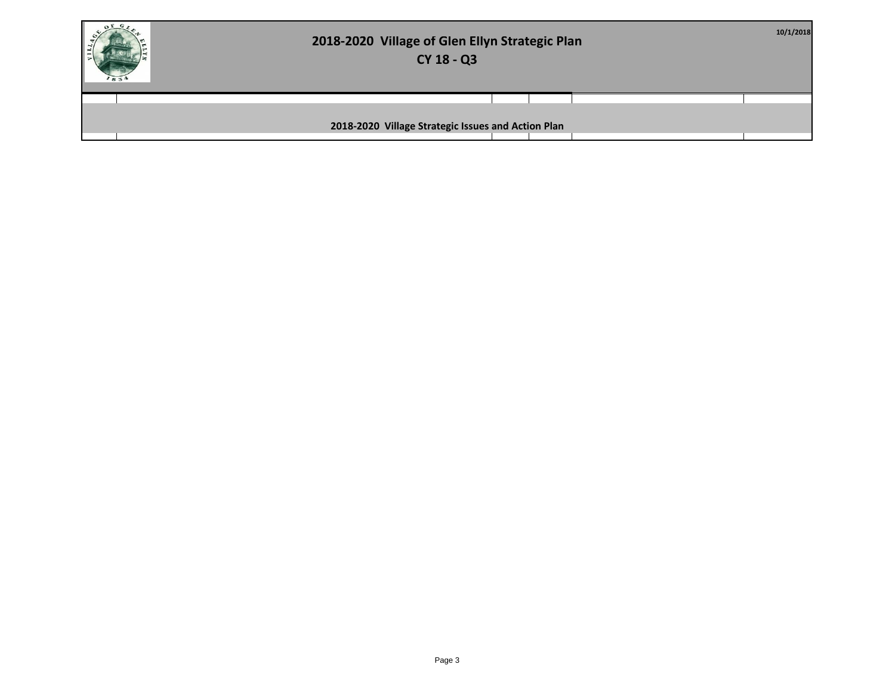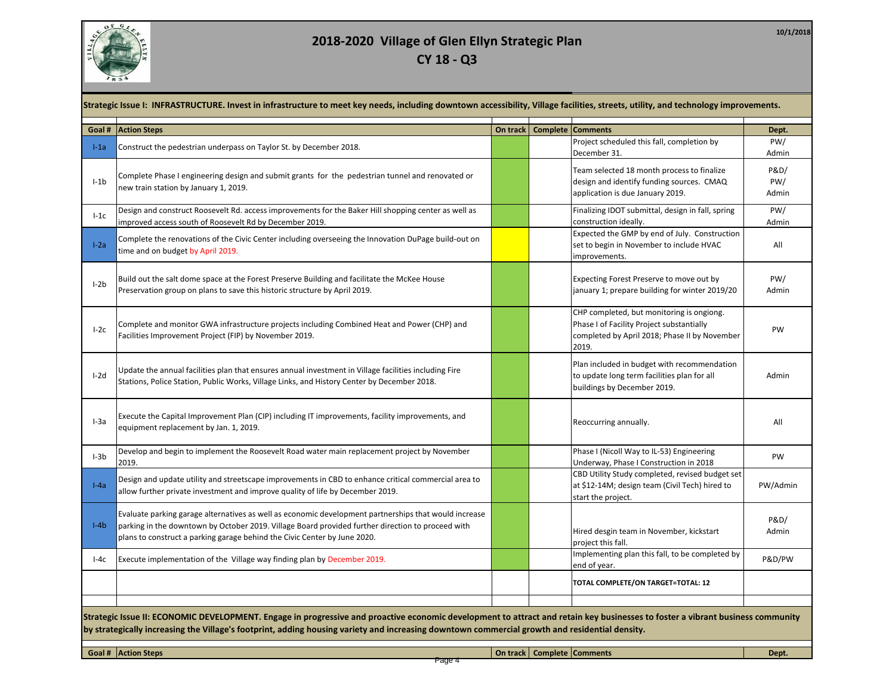

| Goal # | <b>Action Steps</b>                                                                                                                                                                                                                                                                     | On track | Complete Comments                                                                                                                                | Dept.                           |
|--------|-----------------------------------------------------------------------------------------------------------------------------------------------------------------------------------------------------------------------------------------------------------------------------------------|----------|--------------------------------------------------------------------------------------------------------------------------------------------------|---------------------------------|
| $l-1a$ | Construct the pedestrian underpass on Taylor St. by December 2018.                                                                                                                                                                                                                      |          | Project scheduled this fall, completion by<br>December 31.                                                                                       | PW/<br>Admin                    |
| $I-1b$ | Complete Phase I engineering design and submit grants for the pedestrian tunnel and renovated or<br>new train station by January 1, 2019.                                                                                                                                               |          | Team selected 18 month process to finalize<br>design and identify funding sources. CMAQ<br>application is due January 2019.                      | <b>P&amp;D/</b><br>PW/<br>Admin |
| $l-1c$ | Design and construct Roosevelt Rd. access improvements for the Baker Hill shopping center as well as<br>improved access south of Roosevelt Rd by December 2019.                                                                                                                         |          | Finalizing IDOT submittal, design in fall, spring<br>construction ideally.                                                                       | PW/<br>Admin                    |
| $I-2a$ | Complete the renovations of the Civic Center including overseeing the Innovation DuPage build-out on<br>time and on budget by April 2019.                                                                                                                                               |          | Expected the GMP by end of July. Construction<br>set to begin in November to include HVAC<br>improvements.                                       | All                             |
| $I-2b$ | Build out the salt dome space at the Forest Preserve Building and facilitate the McKee House<br>Preservation group on plans to save this historic structure by April 2019.                                                                                                              |          | Expecting Forest Preserve to move out by<br>january 1; prepare building for winter 2019/20                                                       | PW/<br>Admin                    |
| $I-2c$ | Complete and monitor GWA infrastructure projects including Combined Heat and Power (CHP) and<br>Facilities Improvement Project (FIP) by November 2019.                                                                                                                                  |          | CHP completed, but monitoring is ongiong.<br>Phase I of Facility Project substantially<br>completed by April 2018; Phase II by November<br>2019. | PW                              |
| $I-2d$ | Update the annual facilities plan that ensures annual investment in Village facilities including Fire<br>Stations, Police Station, Public Works, Village Links, and History Center by December 2018.                                                                                    |          | Plan included in budget with recommendation<br>to update long term facilities plan for all<br>buildings by December 2019.                        | Admin                           |
| $I-3a$ | Execute the Capital Improvement Plan (CIP) including IT improvements, facility improvements, and<br>equipment replacement by Jan. 1, 2019.                                                                                                                                              |          | Reoccurring annually.                                                                                                                            | All                             |
| $I-3b$ | Develop and begin to implement the Roosevelt Road water main replacement project by November<br>2019.                                                                                                                                                                                   |          | Phase I (Nicoll Way to IL-53) Engineering<br>Underway, Phase I Construction in 2018                                                              | PW                              |
| $I-Aa$ | Design and update utility and streetscape improvements in CBD to enhance critical commercial area to<br>allow further private investment and improve quality of life by December 2019.                                                                                                  |          | CBD Utility Study completed, revised budget set<br>at \$12-14M; design team (Civil Tech) hired to<br>start the project.                          | PW/Admin                        |
| $I-4b$ | Evaluate parking garage alternatives as well as economic development partnerships that would increase<br>parking in the downtown by October 2019. Village Board provided further direction to proceed with<br>plans to construct a parking garage behind the Civic Center by June 2020. |          | Hired desgin team in November, kickstart<br>project this fall.                                                                                   | P&D/<br>Admin                   |
| $I-4c$ | Execute implementation of the Village way finding plan by December 2019.                                                                                                                                                                                                                |          | Implementing plan this fall, to be completed by<br>end of year.                                                                                  | P&D/PW                          |
|        |                                                                                                                                                                                                                                                                                         |          | TOTAL COMPLETE/ON TARGET=TOTAL: 12                                                                                                               |                                 |

Page 4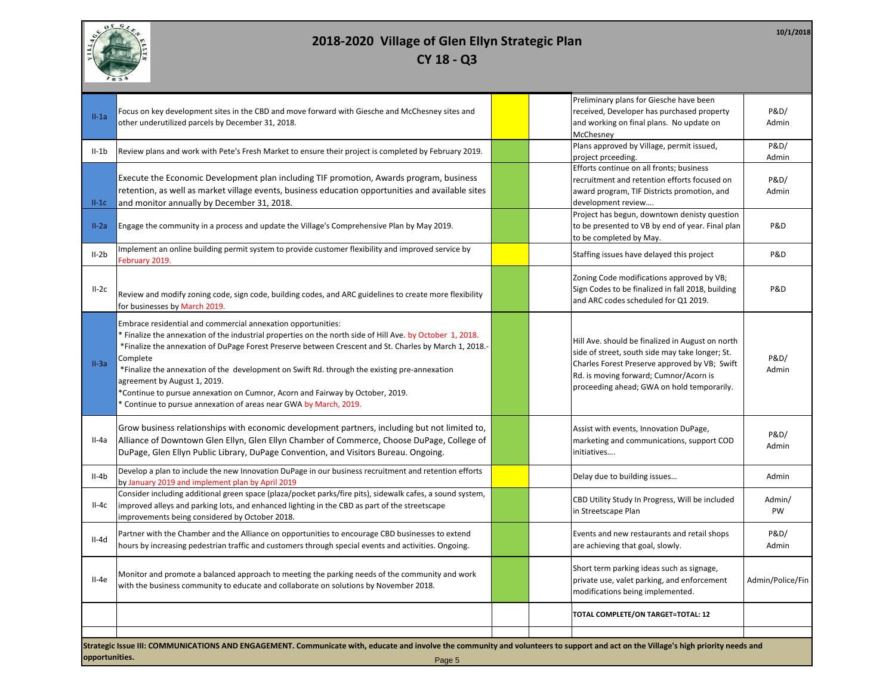

II-1a Focus on key development sites in the CBD and move forward with Giesche and McChesney sites and other underutilized parcels by December 31, 2018. Preliminary plans for Giesche have been received, Developer has purchased property and working on final plans. No update on McChesney P&D/ Admin II-1b Review plans and work with Pete's Fresh Market to ensure their project is completed by February 2019. project prceeding. P&D/ Admin  $II-1C$ Execute the Economic Development plan including TIF promotion, Awards program, business retention, as well as market village events, business education opportunities and available sites and monitor annually by December 31, 2018. Efforts continue on all fronts; business recruitment and retention efforts focused on award program, TIF Districts promotion, and development review…. P&D/ Admin II-2a Engage the community in a process and update the Village's Comprehensive Plan by May 2019. Project has begun, downtown denisty question to be presented to VB by end of year. Final plan to be completed by May. P&D II-2b Implement an online building permit system to provide customer flexibility and improved service by<br>February 2019. Staffing issues have delayed this project P&D II-2c |<br>Review and modify zoning code, sign code, building codes, and ARC guidelines to create more flexibility for businesses by March 2019. Zoning Code modifications approved by VB; Sign Codes to be finalized in fall 2018, building and ARC codes scheduled for Q1 2019. P&D II-3a Embrace residential and commercial annexation opportunities: \* Finalize the annexation of the industrial properties on the north side of Hill Ave. by October 1, 2018. \*Finalize the annexation of DuPage Forest Preserve between Crescent and St. Charles by March 1, 2018.- Complete \*Finalize the annexation of the development on Swift Rd. through the existing pre-annexation agreement by August 1, 2019. \*Continue to pursue annexation on Cumnor, Acorn and Fairway by October, 2019. \* Continue to pursue annexation of areas near GWA by March, 2019. Hill Ave. should be finalized in August on north side of street, south side may take longer; St. Charles Forest Preserve approved by VB; Swift Rd. is moving forward; Cumnor/Acorn is proceeding ahead; GWA on hold temporarily. P&D/ Admin II-4a Grow business relationships with economic development partners, including but not limited to, Alliance of Downtown Glen Ellyn, Glen Ellyn Chamber of Commerce, Choose DuPage, College of DuPage, Glen Ellyn Public Library, DuPage Convention, and Visitors Bureau. Ongoing. Assist with events, Innovation DuPage, marketing and communications, support COD initiatives…. P&D/ Admin II-4b Develop a plan to include the new Innovation DuPage in our business recruitment and retention efforts by January 2019 and implement plan by April 2019 Machines recruitment and recention enorgy and providing issues material in the problem of the Adminited Adminited Adminited by January 2019 and implement plan by April 2019  $II-4c$ Consider including additional green space (plaza/pocket parks/fire pits), sidewalk cafes, a sound system, improved alleys and parking lots, and enhanced lighting in the CBD as part of the streetscape improvements being considered by October 2018. CBD Utility Study In Progress, Will be included in Streetscape Plan Admin/ PW II-4d Partner with the Chamber and the Alliance on opportunities to encourage CBD businesses to extend hours by increasing pedestrian traffic and customers through special events and activities. Ongoing. Events and new restaurants and retail shops are achieving that goal, slowly. P&D/ Admin II-4e Monitor and promote a balanced approach to meeting the parking needs of the community and work with the business community to educate and collaborate on solutions by November 2018. Short term parking ideas such as signage, private use, valet parking, and enforcement modifications being implemented. Admin/Police/Fin **TOTAL COMPLETE/ON TARGET=TOTAL: 12 Strategic Issue III: COMMUNICATIONS AND ENGAGEMENT. Communicate with, educate and involve the community and volunteers to support and act on the Village's high priority needs and opportunities.** Page 5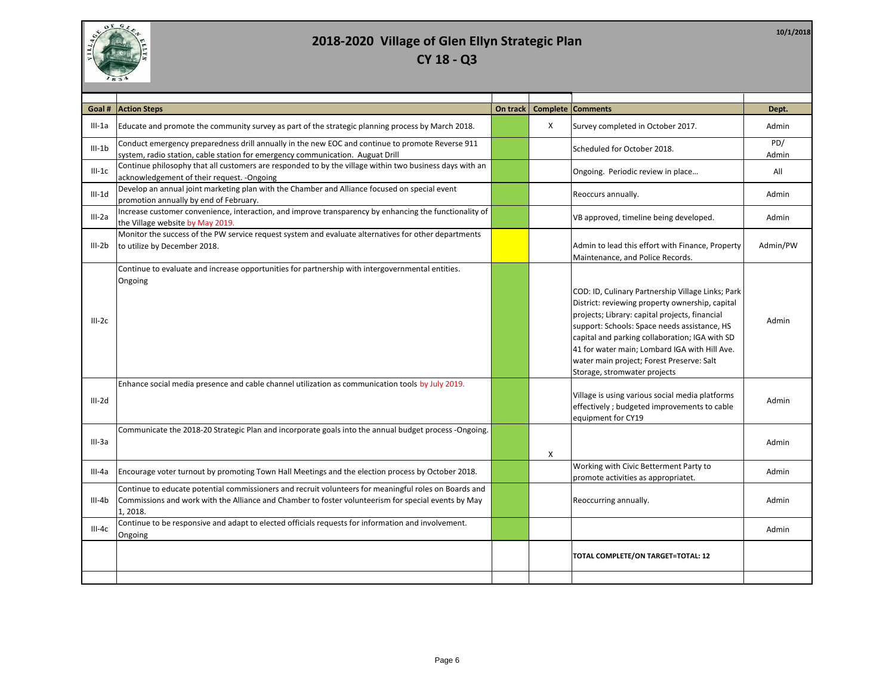

| Goal #     | <b>Action Steps</b>                                                                                                                                                                                                      | On track | <b>Complete</b> | <b>Comments</b>                                                                                                                                                                                                                                                                                                                                                                        | Dept.        |
|------------|--------------------------------------------------------------------------------------------------------------------------------------------------------------------------------------------------------------------------|----------|-----------------|----------------------------------------------------------------------------------------------------------------------------------------------------------------------------------------------------------------------------------------------------------------------------------------------------------------------------------------------------------------------------------------|--------------|
| III-1a     | Educate and promote the community survey as part of the strategic planning process by March 2018.                                                                                                                        |          | X               | Survey completed in October 2017.                                                                                                                                                                                                                                                                                                                                                      | Admin        |
| $III - 1b$ | Conduct emergency preparedness drill annually in the new EOC and continue to promote Reverse 911<br>system, radio station, cable station for emergency communication. Auguat Drill                                       |          |                 | Scheduled for October 2018.                                                                                                                                                                                                                                                                                                                                                            | PD/<br>Admin |
| $III-1C$   | Continue philosophy that all customers are responded to by the village within two business days with an<br>acknowledgement of their request. -Ongoing                                                                    |          |                 | Ongoing. Periodic review in place                                                                                                                                                                                                                                                                                                                                                      | All          |
| $III-1d$   | Develop an annual joint marketing plan with the Chamber and Alliance focused on special event<br>promotion annually by end of February.                                                                                  |          |                 | Reoccurs annually.                                                                                                                                                                                                                                                                                                                                                                     | Admin        |
| $III-2a$   | Increase customer convenience, interaction, and improve transparency by enhancing the functionality of<br>the Village website by May 2019.                                                                               |          |                 | VB approved, timeline being developed.                                                                                                                                                                                                                                                                                                                                                 | Admin        |
| $III-2b$   | Monitor the success of the PW service request system and evaluate alternatives for other departments<br>to utilize by December 2018.                                                                                     |          |                 | Admin to lead this effort with Finance, Property<br>Maintenance, and Police Records.                                                                                                                                                                                                                                                                                                   | Admin/PW     |
| $III-2c$   | Continue to evaluate and increase opportunities for partnership with intergovernmental entities.<br>Ongoing                                                                                                              |          |                 | COD: ID, Culinary Partnership Village Links; Park<br>District: reviewing property ownership, capital<br>projects; Library: capital projects, financial<br>support: Schools: Space needs assistance, HS<br>capital and parking collaboration; IGA with SD<br>41 for water main; Lombard IGA with Hill Ave.<br>water main project; Forest Preserve: Salt<br>Storage, stromwater projects | Admin        |
| III-2d     | Enhance social media presence and cable channel utilization as communication tools by July 2019.                                                                                                                         |          |                 | Village is using various social media platforms<br>effectively ; budgeted improvements to cable<br>equipment for CY19                                                                                                                                                                                                                                                                  | Admin        |
| $III-3a$   | Communicate the 2018-20 Strategic Plan and incorporate goals into the annual budget process -Ongoing.                                                                                                                    |          | Х               |                                                                                                                                                                                                                                                                                                                                                                                        | Admin        |
| III-4a     | Encourage voter turnout by promoting Town Hall Meetings and the election process by October 2018.                                                                                                                        |          |                 | Working with Civic Betterment Party to<br>promote activities as appropriatet.                                                                                                                                                                                                                                                                                                          | Admin        |
| III-4b     | Continue to educate potential commissioners and recruit volunteers for meaningful roles on Boards and<br>Commissions and work with the Alliance and Chamber to foster volunteerism for special events by May<br>1, 2018. |          |                 | Reoccurring annually.                                                                                                                                                                                                                                                                                                                                                                  | Admin        |
| $III-4c$   | Continue to be responsive and adapt to elected officials requests for information and involvement.<br>Ongoing                                                                                                            |          |                 |                                                                                                                                                                                                                                                                                                                                                                                        | Admin        |
|            |                                                                                                                                                                                                                          |          |                 | TOTAL COMPLETE/ON TARGET=TOTAL: 12                                                                                                                                                                                                                                                                                                                                                     |              |
|            |                                                                                                                                                                                                                          |          |                 |                                                                                                                                                                                                                                                                                                                                                                                        |              |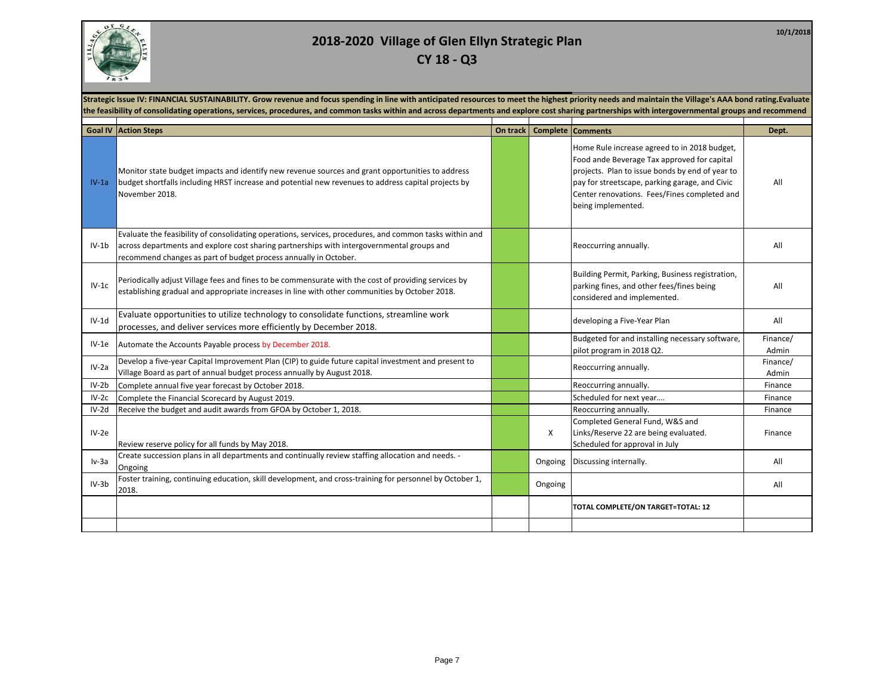

| Strategic Issue IV: FINANCIAL SUSTAINABILITY. Grow revenue and focus spending in line with anticipated resources to meet the highest priority needs and maintain the Village's AAA bond rating. Evaluate<br>the feasibility of consolidating operations, services, procedures, and common tasks within and across departments and explore cost sharing partnerships with intergovernmental groups and recommend |                                                                                                                                                                                                                                                                           |          |         |                                                                                                                                                                                                                                                                        |                   |  |  |
|-----------------------------------------------------------------------------------------------------------------------------------------------------------------------------------------------------------------------------------------------------------------------------------------------------------------------------------------------------------------------------------------------------------------|---------------------------------------------------------------------------------------------------------------------------------------------------------------------------------------------------------------------------------------------------------------------------|----------|---------|------------------------------------------------------------------------------------------------------------------------------------------------------------------------------------------------------------------------------------------------------------------------|-------------------|--|--|
|                                                                                                                                                                                                                                                                                                                                                                                                                 | <b>Goal IV Action Steps</b>                                                                                                                                                                                                                                               | On track |         | <b>Complete Comments</b>                                                                                                                                                                                                                                               | Dept.             |  |  |
| $IV-1a$                                                                                                                                                                                                                                                                                                                                                                                                         | Monitor state budget impacts and identify new revenue sources and grant opportunities to address<br>budget shortfalls including HRST increase and potential new revenues to address capital projects by<br>November 2018.                                                 |          |         | Home Rule increase agreed to in 2018 budget,<br>Food ande Beverage Tax approved for capital<br>projects. Plan to issue bonds by end of year to<br>pay for streetscape, parking garage, and Civic<br>Center renovations. Fees/Fines completed and<br>being implemented. | All               |  |  |
| $IV-1b$                                                                                                                                                                                                                                                                                                                                                                                                         | Evaluate the feasibility of consolidating operations, services, procedures, and common tasks within and<br>across departments and explore cost sharing partnerships with intergovernmental groups and<br>recommend changes as part of budget process annually in October. |          |         | Reoccurring annually.                                                                                                                                                                                                                                                  | All               |  |  |
| $IV-1c$                                                                                                                                                                                                                                                                                                                                                                                                         | Periodically adjust Village fees and fines to be commensurate with the cost of providing services by<br>establishing gradual and appropriate increases in line with other communities by October 2018.                                                                    |          |         | Building Permit, Parking, Business registration,<br>parking fines, and other fees/fines being<br>considered and implemented.                                                                                                                                           | All               |  |  |
| $IV-1d$                                                                                                                                                                                                                                                                                                                                                                                                         | Evaluate opportunities to utilize technology to consolidate functions, streamline work<br>processes, and deliver services more efficiently by December 2018.                                                                                                              |          |         | developing a Five-Year Plan                                                                                                                                                                                                                                            | All               |  |  |
| $IV-1e$                                                                                                                                                                                                                                                                                                                                                                                                         | Automate the Accounts Payable process by December 2018.                                                                                                                                                                                                                   |          |         | Budgeted for and installing necessary software,<br>pilot program in 2018 Q2.                                                                                                                                                                                           | Finance/<br>Admin |  |  |
| $IV-2a$                                                                                                                                                                                                                                                                                                                                                                                                         | Develop a five-year Capital Improvement Plan (CIP) to guide future capital investment and present to<br>Village Board as part of annual budget process annually by August 2018.                                                                                           |          |         | Reoccurring annually.                                                                                                                                                                                                                                                  | Finance/<br>Admin |  |  |
| $IV-2b$                                                                                                                                                                                                                                                                                                                                                                                                         | Complete annual five year forecast by October 2018.                                                                                                                                                                                                                       |          |         | Reoccurring annually.                                                                                                                                                                                                                                                  | Finance           |  |  |
| $IV-2c$                                                                                                                                                                                                                                                                                                                                                                                                         | Complete the Financial Scorecard by August 2019.                                                                                                                                                                                                                          |          |         | Scheduled for next year                                                                                                                                                                                                                                                | Finance           |  |  |
| $IV-2d$                                                                                                                                                                                                                                                                                                                                                                                                         | Receive the budget and audit awards from GFOA by October 1, 2018.                                                                                                                                                                                                         |          |         | Reoccurring annually.                                                                                                                                                                                                                                                  | Finance           |  |  |
| $IV-2e$                                                                                                                                                                                                                                                                                                                                                                                                         | Review reserve policy for all funds by May 2018.                                                                                                                                                                                                                          |          | X       | Completed General Fund, W&S and<br>Links/Reserve 22 are being evaluated.<br>Scheduled for approval in July                                                                                                                                                             | Finance           |  |  |
| Iv-3a                                                                                                                                                                                                                                                                                                                                                                                                           | Create succession plans in all departments and continually review staffing allocation and needs. -<br>Ongoing                                                                                                                                                             |          | Ongoing | Discussing internally.                                                                                                                                                                                                                                                 | All               |  |  |
| $IV-3b$                                                                                                                                                                                                                                                                                                                                                                                                         | Foster training, continuing education, skill development, and cross-training for personnel by October 1,<br>2018.                                                                                                                                                         |          | Ongoing |                                                                                                                                                                                                                                                                        | All               |  |  |
|                                                                                                                                                                                                                                                                                                                                                                                                                 |                                                                                                                                                                                                                                                                           |          |         | TOTAL COMPLETE/ON TARGET=TOTAL: 12                                                                                                                                                                                                                                     |                   |  |  |
|                                                                                                                                                                                                                                                                                                                                                                                                                 |                                                                                                                                                                                                                                                                           |          |         |                                                                                                                                                                                                                                                                        |                   |  |  |